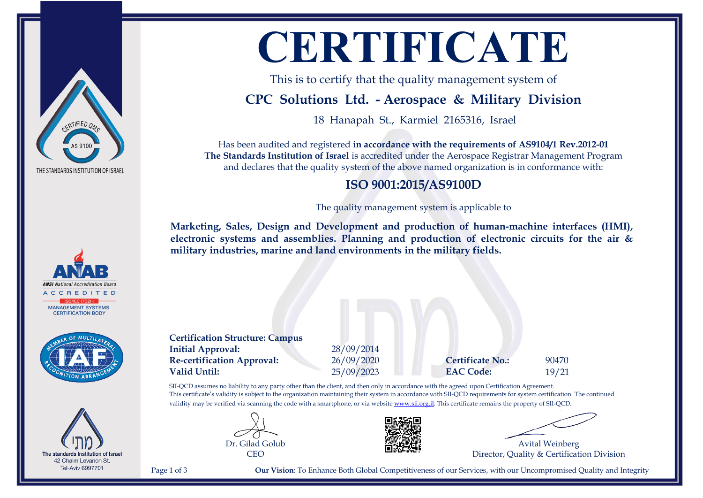

**ANSI** National Accreditation Boar  $DITER$ **MANAGEMENT SYSTEMS CERTIFICATION BODY** 



The standards Institution of Israel 42 Chaim Levanon St, **Tel-Aviv 6997701** 

# **CERTIFICATE**

This is to certify that the quality management system of

## **CPC Solutions Ltd. - Aerospace & Military Division**

18 Hanapah St., Karmiel 2165316, Israel

Has been audited and registered **in accordance with the requirements of AS9104/1 Rev.2012-01 The Standards Institution of Israel** is accredited under the Aerospace Registrar Management Program and declares that the quality system of the above named organization is in conformance with:

#### **ISO 9001:2015/AS9100D**

The quality management system is applicable to

**Marketing, Sales, Design and Development and production of human-machine interfaces (HMI), electronic systems and assemblies. Planning and production of electronic circuits for the air & military industries, marine and land environments in the military fields.**

**Certification Structure: Campus Initial Approval:** 28/09/2014 **Re-certification Approval:** 26/09/2020 **Certificate No.:** 90470 **Valid Until:** 25/09/2023 **EAC Code:** 19/21

SII-QCD assumes no liability to any party other than the client, and then only in accordance with the agreed upon Certification Agreement. This certificate's validity is subject to the organization maintaining their system in accordance with SII-QCD requirements for system certification. The continued validity may be verified via scanning the code with a smartphone, or via website [www.sii.org.il.](http://www.sii.org.il) This certificate remains the property of SII-QCD.





Avital Weinberg Director, Quality & Certification Division

Page 1 of 3 **Our Vision**: To Enhance Both Global Competitiveness of our Services, with our Uncompromised Quality and Integrity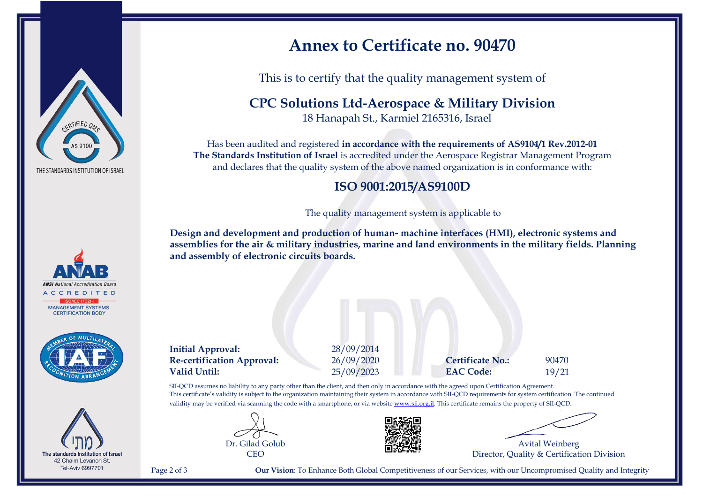





The standards Institution of Israel 42 Chaim Levanon St, **Tel-Aviv 6997701** 

## **Annex to Certificate no. 90470**

This is to certify that the quality management system of

**CPC Solutions Ltd-Aerospace & Military Division**

18 Hanapah St., Karmiel 2165316, Israel

Has been audited and registered **in accordance with the requirements of AS9104/1 Rev.2012-01 The Standards Institution of Israel** is accredited under the Aerospace Registrar Management Program and declares that the quality system of the above named organization is in conformance with:

#### **ISO 9001:2015/AS9100D**

The quality management system is applicable to

**Design and development and production of human- machine interfaces (HMI), electronic systems and assemblies for the air & military industries, marine and land environments in the military fields. Planning and assembly of electronic circuits boards.**

**Initial Approval:** 28/09/2014 **Re-certification Approval:** 26/09/2020 **Certificate No.:** 90470 **Valid Until:** 25/09/2023 **EAC Code:** 19/21

SII-QCD assumes no liability to any party other than the client, and then only in accordance with the agreed upon Certification Agreement. This certificate's validity is subject to the organization maintaining their system in accordance with SII-QCD requirements for system certification. The continued validity may be verified via scanning the code with a smartphone, or via website [www.sii.org.il.](http://www.sii.org.il) This certificate remains the property of SII-QCD.





Avital Weinberg Director, Quality & Certification Division

Page 2 of 3 **Our Vision**: To Enhance Both Global Competitiveness of our Services, with our Uncompromised Quality and Integrity